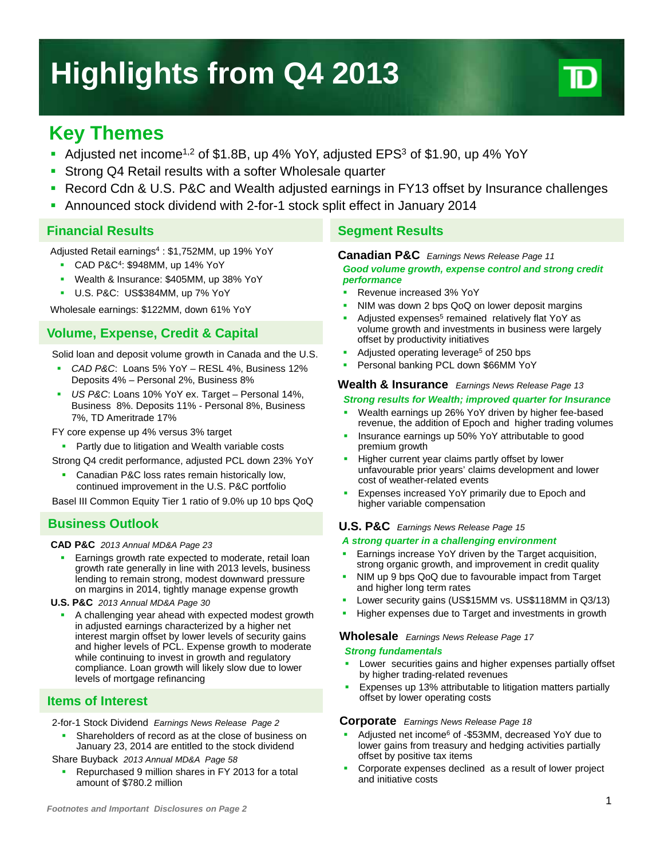# **Highlights from Q4 2013**



# **Key Themes**

- Adjusted net income<sup>1,2</sup> of \$1.8B, up 4% YoY, adjusted EPS<sup>3</sup> of \$1.90, up 4% YoY
- Strong Q4 Retail results with a softer Wholesale quarter
- Record Cdn & U.S. P&C and Wealth adjusted earnings in FY13 offset by Insurance challenges
- Announced stock dividend with 2-for-1 stock split effect in January 2014

### **Financial Results**

Adjusted Retail earnings4 : \$1,752MM, up 19% YoY

- CAD P&C4: \$948MM, up 14% YoY
- Wealth & Insurance: \$405MM, up 38% YoY
- U.S. P&C: US\$384MM, up 7% YoY

Wholesale earnings: \$122MM, down 61% YoY

# **Volume, Expense, Credit & Capital**

Solid loan and deposit volume growth in Canada and the U.S.

- *CAD P&C*: Loans 5% YoY RESL 4%, Business 12% Deposits 4% – Personal 2%, Business 8%
- *US P&C*: Loans 10% YoY ex. Target Personal 14%, Business 8%. Deposits 11% - Personal 8%, Business 7%, TD Ameritrade 17%

FY core expense up 4% versus 3% target

- **Partly due to litigation and Wealth variable costs**
- Strong Q4 credit performance, adjusted PCL down 23% YoY
- Canadian P&C loss rates remain historically low, continued improvement in the U.S. P&C portfolio

Basel III Common Equity Tier 1 ratio of 9.0% up 10 bps QoQ

# **Business Outlook**

#### **CAD P&C** *2013 Annual MD&A Page 23*

- Earnings growth rate expected to moderate, retail loan growth rate generally in line with 2013 levels, business lending to remain strong, modest downward pressure on margins in 2014, tightly manage expense growth
- **U.S. P&C** *2013 Annual MD&A Page 30*
	- A challenging year ahead with expected modest growth in adjusted earnings characterized by a higher net interest margin offset by lower levels of security gains and higher levels of PCL. Expense growth to moderate while continuing to invest in growth and regulatory compliance. Loan growth will likely slow due to lower levels of mortgage refinancing

# **Items of Interest**

2-for-1 Stock Dividend *Earnings News Release Page 2*

 Shareholders of record as at the close of business on January 23, 2014 are entitled to the stock dividend

Share Buyback *2013 Annual MD&A Page 58*

 Repurchased 9 million shares in FY 2013 for a total amount of \$780.2 million

# **Segment Results**

#### **Canadian P&C** *Earnings News Release Page 11*

*Good volume growth, expense control and strong credit performance*

- Revenue increased 3% YoY
- NIM was down 2 bps QoQ on lower deposit margins
- Adjusted expenses<sup>5</sup> remained relatively flat YoY as volume growth and investments in business were largely offset by productivity initiatives
- Adjusted operating leverage<sup>5</sup> of 250 bps
- Personal banking PCL down \$66MM YoY

#### **Wealth & Insurance** *Earnings News Release Page 13*

#### *Strong results for Wealth; improved quarter for Insurance*

- Wealth earnings up 26% YoY driven by higher fee-based revenue, the addition of Epoch and higher trading volumes
- Insurance earnings up 50% YoY attributable to good premium growth
- Higher current year claims partly offset by lower unfavourable prior years' claims development and lower cost of weather-related events
- Expenses increased YoY primarily due to Epoch and higher variable compensation

#### **U.S. P&C** *Earnings News Release Page 15*

#### *A strong quarter in a challenging environment*

- Earnings increase YoY driven by the Target acquisition, strong organic growth, and improvement in credit quality
- NIM up 9 bps QoQ due to favourable impact from Target and higher long term rates
- Lower security gains (US\$15MM vs. US\$118MM in Q3/13)
- Higher expenses due to Target and investments in growth

#### **Wholesale** *Earnings News Release Page 17*

#### *Strong fundamentals*

- Lower securities gains and higher expenses partially offset by higher trading-related revenues
- **Expenses up 13% attributable to litigation matters partially** offset by lower operating costs

#### **Corporate** *Earnings News Release Page 18*

- Adjusted net income6 of -\$53MM, decreased YoY due to lower gains from treasury and hedging activities partially offset by positive tax items
- Corporate expenses declined as a result of lower project and initiative costs